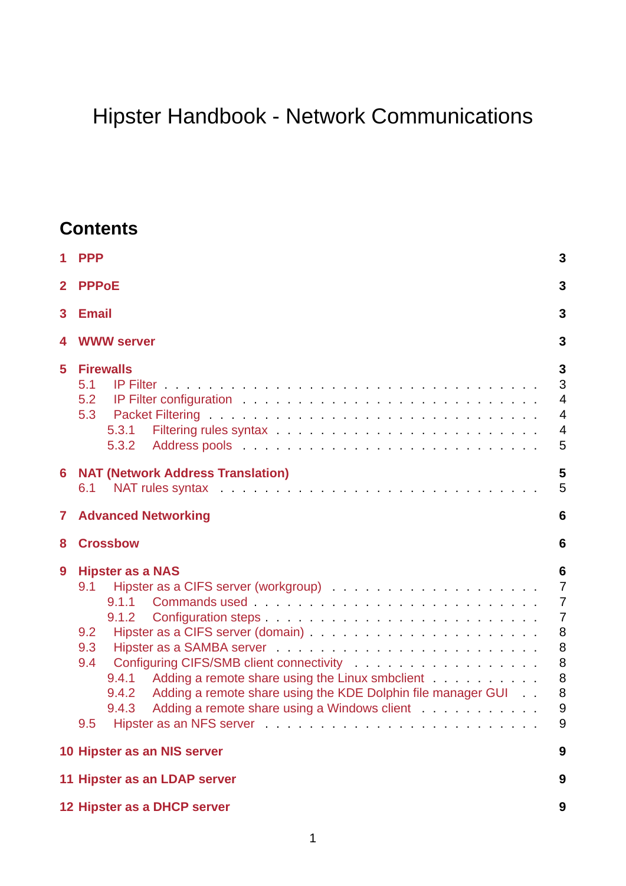# Hipster Handbook - Network Communications

## **Contents**

| 1            | <b>PPP</b>                                                                                                                                                                                                                                                                                                                                                                                                                                                                                                                                                                   | 3                                                                                          |  |  |  |
|--------------|------------------------------------------------------------------------------------------------------------------------------------------------------------------------------------------------------------------------------------------------------------------------------------------------------------------------------------------------------------------------------------------------------------------------------------------------------------------------------------------------------------------------------------------------------------------------------|--------------------------------------------------------------------------------------------|--|--|--|
| $\mathbf{2}$ | <b>PPPoE</b>                                                                                                                                                                                                                                                                                                                                                                                                                                                                                                                                                                 |                                                                                            |  |  |  |
| 3            | <b>Email</b>                                                                                                                                                                                                                                                                                                                                                                                                                                                                                                                                                                 |                                                                                            |  |  |  |
| 4            | <b>WWW server</b>                                                                                                                                                                                                                                                                                                                                                                                                                                                                                                                                                            | 3                                                                                          |  |  |  |
| 5            | <b>Firewalls</b><br>5.1<br>5.2<br>5.3<br>5.3.1<br>5.3.2                                                                                                                                                                                                                                                                                                                                                                                                                                                                                                                      | 3<br>3<br>$\overline{4}$<br>$\overline{4}$<br>$\overline{4}$<br>5                          |  |  |  |
| 6            | <b>NAT (Network Address Translation)</b><br>NAT rules syntax enterprise and a serie and a series and a series and a series and a series and a series and a<br>6.1                                                                                                                                                                                                                                                                                                                                                                                                            | 5<br>5                                                                                     |  |  |  |
| 7            | <b>Advanced Networking</b>                                                                                                                                                                                                                                                                                                                                                                                                                                                                                                                                                   | 6                                                                                          |  |  |  |
| 8            | <b>Crossbow</b>                                                                                                                                                                                                                                                                                                                                                                                                                                                                                                                                                              | 6                                                                                          |  |  |  |
| 9            | <b>Hipster as a NAS</b><br>9.1<br>9.1.1<br>9.1.2<br>9.2<br>9.3<br>Configuring CIFS/SMB client connectivity entertainment of the control of the control of the control of the control of the control of the control of the control of the control of the control of the control of the control of<br>9.4<br>9.4.1<br>Adding a remote share using the KDE Dolphin file manager GUI<br>9.4.2<br>Adding a remote share using a Windows client<br>9.4.3<br>9.5<br>Hipster as an NFS server entertainment of the server of the server of the server of the server of the server of | 6<br>$\overline{7}$<br>$\overline{7}$<br>$\overline{7}$<br>8<br>8<br>8<br>8<br>8<br>9<br>9 |  |  |  |
|              | 10 Hipster as an NIS server                                                                                                                                                                                                                                                                                                                                                                                                                                                                                                                                                  | 9                                                                                          |  |  |  |
|              | 11 Hipster as an LDAP server                                                                                                                                                                                                                                                                                                                                                                                                                                                                                                                                                 | 9                                                                                          |  |  |  |
|              | 12 Hipster as a DHCP server                                                                                                                                                                                                                                                                                                                                                                                                                                                                                                                                                  | 9                                                                                          |  |  |  |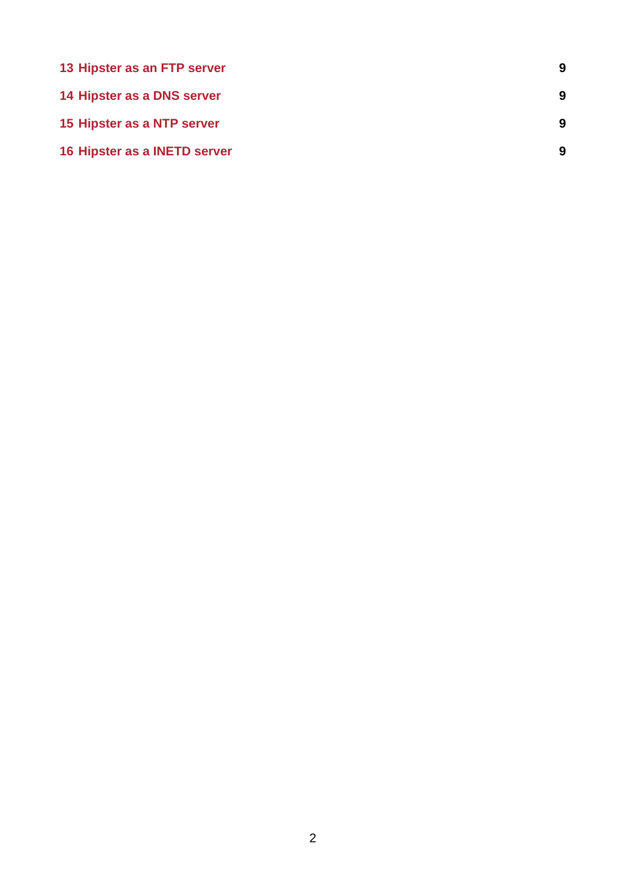| 13 Hipster as an FTP server  | 9 |
|------------------------------|---|
| 14 Hipster as a DNS server   | 9 |
| 15 Hipster as a NTP server   | 9 |
| 16 Hipster as a INETD server | 9 |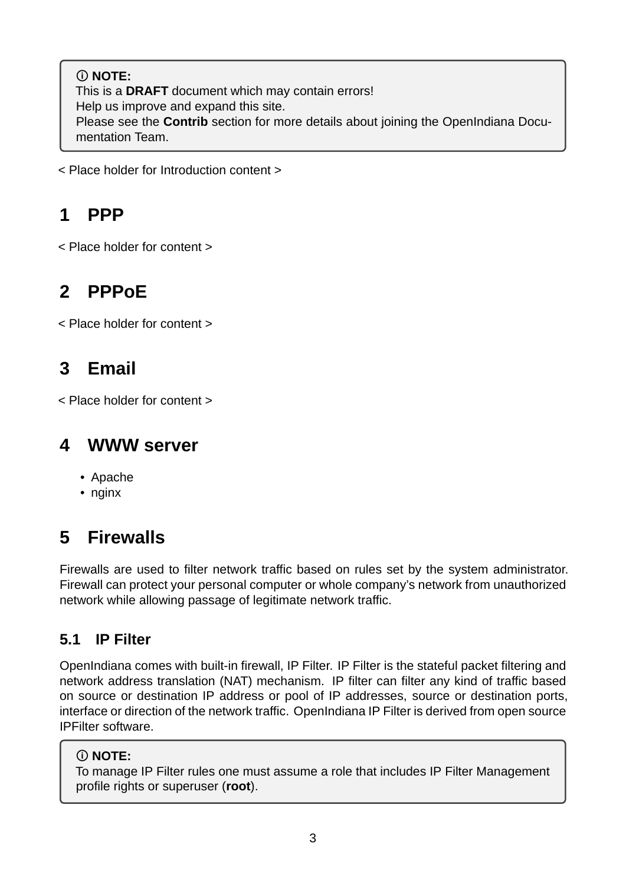#### **NOTE:** This is a **DRAFT** document which may contain errors! Help us improve and expand this site. Please see the **Contrib** section for more details about joining the OpenIndiana Documentation Team.

< Place holder for Introduction content >

## <span id="page-2-0"></span>**1 PPP**

< Place holder for content >

## <span id="page-2-1"></span>**2 PPPoE**

< Place holder for content >

## <span id="page-2-2"></span>**3 Email**

< Place holder for content >

### <span id="page-2-3"></span>**4 WWW server**

- Apache
- nginx

## <span id="page-2-4"></span>**5 Firewalls**

Firewalls are used to filter network traffic based on rules set by the system administrator. Firewall can protect your personal computer or whole company's network from unauthorized network while allowing passage of legitimate network traffic.

### <span id="page-2-5"></span>**5.1 IP Filter**

OpenIndiana comes with built-in firewall, IP Filter. IP Filter is the stateful packet filtering and network address translation (NAT) mechanism. IP filter can filter any kind of traffic based on source or destination IP address or pool of IP addresses, source or destination ports, interface or direction of the network traffic. OpenIndiana IP Filter is derived from open source IPFilter software.

### **NOTE:**

To manage IP Filter rules one must assume a role that includes IP Filter Management profile rights or superuser (**root**).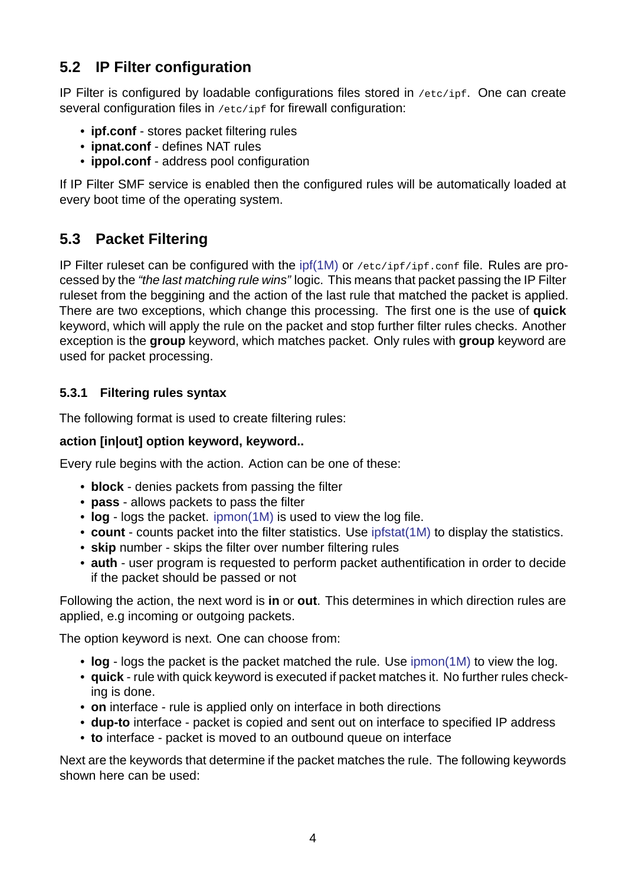### **5.2 IP Filter configuration**

IP Filter is configured by loadable configurations files stored in /etc/ipf. One can create several configuration files in /etc/ipf for firewall configuration:

- <span id="page-3-0"></span>• **ipf.conf** - stores packet filtering rules
- **ipnat.conf** defines NAT rules
- **ippol.conf** address pool configuration

If IP Filter SMF service is enabled then the configured rules will be automatically loaded at every boot time of the operating system.

### **5.3 Packet Filtering**

<span id="page-3-1"></span>IP Filter ruleset can be configured with the ipf(1M) or /etc/ipf/ipf.conf file. Rules are processed by the *"the last matching rule wins"* logic. This means that packet passing the IP Filter ruleset from the beggining and the action of the last rule that matched the packet is applied. There are two exceptions, which change t[his proc](https://illumos.org/man/1M/ipf)essing. The first one is the use of **quick** keyword, which will apply the rule on the packet and stop further filter rules checks. Another exception is the **group** keyword, which matches packet. Only rules with **group** keyword are used for packet processing.

#### **5.3.1 Filtering rules syntax**

The following format is used to create filtering rules:

#### <span id="page-3-2"></span>**action [in|out] option keyword, keyword..**

Every rule begins with the action. Action can be one of these:

- **block** denies packets from passing the filter
- **pass** allows packets to pass the filter
- $\cdot$  log  $\cdot$  logs the packet. ipmon(1M) is used to view the log file.
- **count** counts packet into the filter statistics. Use ipfstat(1M) to display the statistics.
- **skip** number skips the filter over number filtering rules
- •**auth** user program i[s requested](https://illumos.org/man/1M/ipmon) to perform packet authentification in order to decide if the packet should be passed or not

Following the action, the next word is **in** or **out**. This determines in which direction rules are applied, e.g incoming or outgoing packets.

The option keyword is next. One can choose from:

- **log** logs the packet is the packet matched the rule. Use ipmon(1M) to view the log.
- **quick** rule with quick keyword is executed if packet matches it. No further rules checking is done.
- **on** interface rule is applied only on interface in both directions
- **dup-to** interface packet is copied and sent out on interf[ace to speci](https://illumos.org/man/1M/ipmon)fied IP address
- **to** interface packet is moved to an outbound queue on interface

Next are the keywords that determine if the packet matches the rule. The following keywords shown here can be used: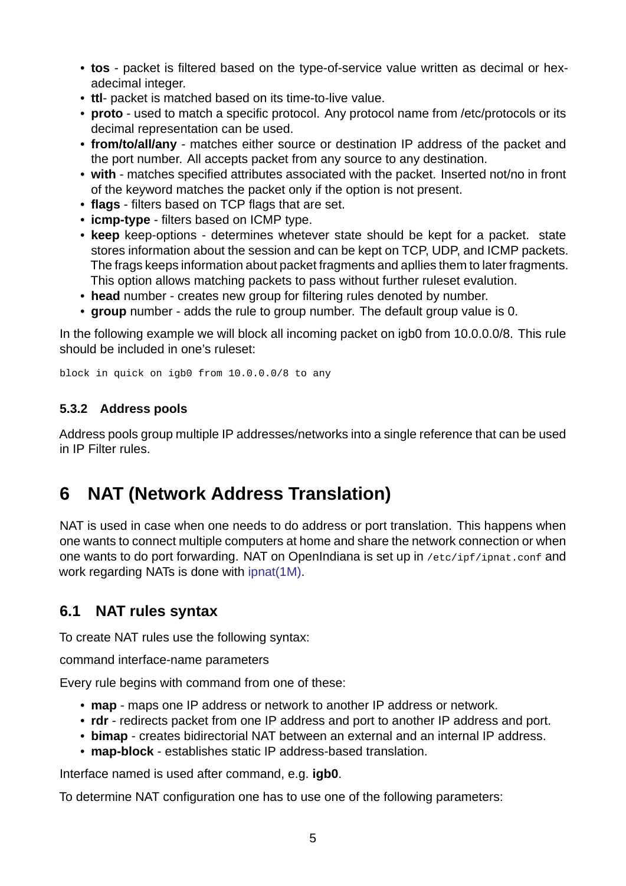- tos packet is filtered based on the type-of-service value written as decimal or hexadecimal integer.
- **ttl** packet is matched based on its time-to-live value.
- **proto** used to match a specific protocol. Any protocol name from /etc/protocols or its decimal representation can be used.
- **from/to/all/any** matches either source or destination IP address of the packet and the port number. All accepts packet from any source to any destination.
- with matches specified attributes associated with the packet. Inserted not/no in front of the keyword matches the packet only if the option is not present.
- **flags** filters based on TCP flags that are set.
- **icmp-type** filters based on ICMP type.
- **keep** keep-options determines whetever state should be kept for a packet. state stores information about the session and can be kept on TCP, UDP, and ICMP packets. The frags keeps information about packet fragments and apllies them to later fragments. This option allows matching packets to pass without further ruleset evalution.
- **head** number creates new group for filtering rules denoted by number.
- group number adds the rule to group number. The default group value is 0.

In the following example we will block all incoming packet on igb0 from 10.0.0.0/8. This rule should be included in one's ruleset:

block in quick on igb0 from 10.0.0.0/8 to any

#### **5.3.2 Address pools**

<span id="page-4-0"></span>Address pools group multiple IP addresses/networks into a single reference that can be used in IP Filter rules.

## **6 NAT (Network Address Translation)**

<span id="page-4-1"></span>NAT is used in case when one needs to do address or port translation. This happens when one wants to connect multiple computers at home and share the network connection or when one wants to do port forwarding. NAT on OpenIndiana is set up in /etc/ipf/ipnat.conf and work regarding NATs is done with ipnat(1M).

### **6.1 NAT rules syntax**

To create NAT rules use the following syntax:

<span id="page-4-2"></span>command interface-name parameters

Every rule begins with command from one of these:

- **map** maps one IP address or network to another IP address or network.
- **rdr** redirects packet from one IP address and port to another IP address and port.
- **bimap** creates bidirectorial NAT between an external and an internal IP address.
- map-block establishes static IP address-based translation.

Interface named is used after command, e.g. **igb0**.

To determine NAT configuration one has to use one of the following parameters: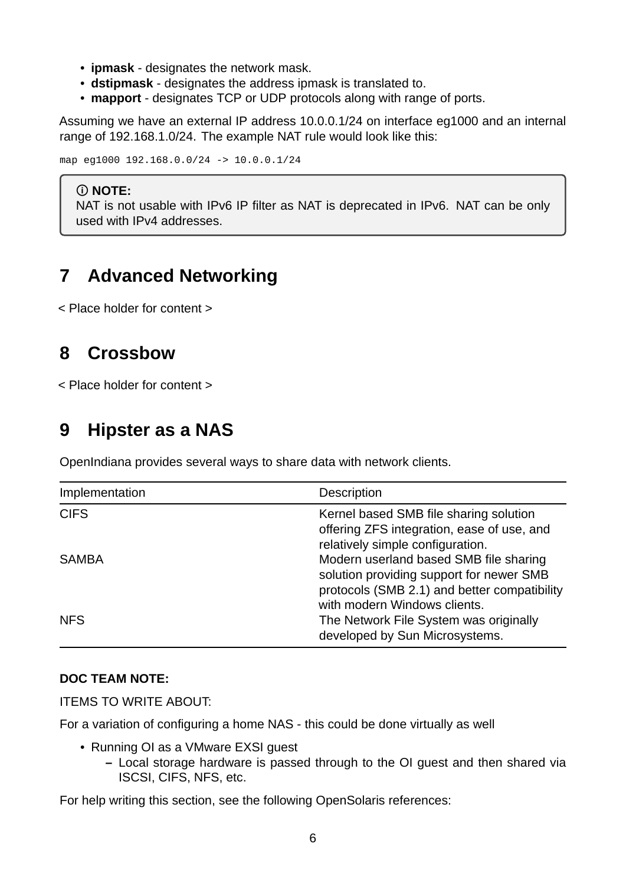- **ipmask** designates the network mask.
- **dstipmask** designates the address ipmask is translated to.
- **mapport** designates TCP or UDP protocols along with range of ports.

Assuming we have an external IP address 10.0.0.1/24 on interface eg1000 and an internal range of 192.168.1.0/24. The example NAT rule would look like this:

map eg1000 192.168.0.0/24 -> 10.0.0.1/24

#### **NOTE:**

NAT is not usable with IPv6 IP filter as NAT is deprecated in IPv6. NAT can be only used with IPv4 addresses.

## <span id="page-5-0"></span>**7 Advanced Networking**

< Place holder for content >

## <span id="page-5-1"></span>**8 Crossbow**

< Place holder for content >

## <span id="page-5-2"></span>**9 Hipster as a NAS**

OpenIndiana provides several ways to share data with network clients.

| Implementation | <b>Description</b><br>Kernel based SMB file sharing solution<br>offering ZFS integration, ease of use, and<br>relatively simple configuration.                     |  |  |  |
|----------------|--------------------------------------------------------------------------------------------------------------------------------------------------------------------|--|--|--|
| <b>CIFS</b>    |                                                                                                                                                                    |  |  |  |
| <b>SAMBA</b>   | Modern userland based SMB file sharing<br>solution providing support for newer SMB<br>protocols (SMB 2.1) and better compatibility<br>with modern Windows clients. |  |  |  |
| <b>NFS</b>     | The Network File System was originally<br>developed by Sun Microsystems.                                                                                           |  |  |  |

#### **DOC TEAM NOTE:**

ITEMS TO WRITE ABOUT:

For a variation of configuring a home NAS - this could be done virtually as well

- Running OI as a VMware EXSI quest
	- **–** Local storage hardware is passed through to the OI guest and then shared via ISCSI, CIFS, NFS, etc.

For help writing this section, see the following OpenSolaris references: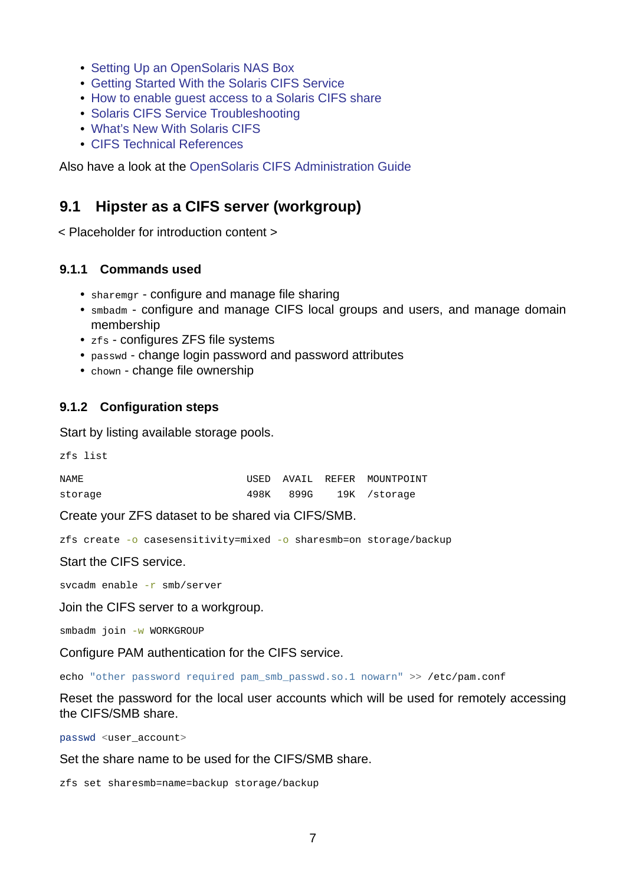- Setting Up an OpenSolaris NAS Box
- Getting Started With the Solaris CIFS Service
- How to enable guest access to a Solaris CIFS share
- [Solaris CIFS Service Troubleshooting](https://web.archive.org/web/20091008234550/http://developers.sun.com/openstorage/articles/opensolaris_nas.html)
- [What's New With Solaris CIFS](https://web.archive.org/web/20091005070838/http://wiki.genunix.org/wiki/index.php/Getting_Started_With_the_Solaris_CIFS_Service)
- [CIFS Technical References](https://web.archive.org/web/20091021005616/http://blogs.sun.com/afshinsa/entry/how_to_enable_guest_access)

Also have a look at the [OpenSolaris CIFS A](https://web.archive.org/web/20091126111451/http://wiki.genunix.org/wiki/index.php/Solaris_CIFS_Service_Troubleshooting)dministration Guide

### **9.1 [Hipster as a CIFS se](https://web.archive.org/web/20090725231658/http://wiki.genunix.org/wiki/index.php/CIFS_Technical_References)[rver \(workgroup\)](https://docs.oracle.com/cd/E19120-01/open.solaris/820-2429/820-2429.pdf)**

<span id="page-6-0"></span>< Placeholder for introduction content >

#### **9.1.1 Commands used**

- sharemgr configure and manage file sharing
- <span id="page-6-1"></span>• smbadm - configure and manage CIFS local groups and users, and manage domain membership
- zfs configures ZFS file systems
- passwd change login password and password attributes
- chown change file ownership

#### **9.1.2 Configuration steps**

Start by listing available storage pools.

<span id="page-6-2"></span>zfs list

| NAME    |  | USED AVAIL REFER MOUNTPOINT |
|---------|--|-----------------------------|
| storage |  | 498K 899G 19K / storage     |

Create your ZFS dataset to be shared via CIFS/SMB.

zfs create  $-0$  casesensitivity=mixed  $-0$  sharesmb=on storage/backup

Start the CIFS service.

svcadm enable -r smb/server

Join the CIFS server to a workgroup.

smbadm join -w WORKGROUP

Configure PAM authentication for the CIFS service.

echo "other password required pam\_smb\_passwd.so.1 nowarn" >> /etc/pam.conf

Reset the password for the local user accounts which will be used for remotely accessing the CIFS/SMB share.

passwd <user\_account>

Set the share name to be used for the CIFS/SMB share.

zfs set sharesmb=name=backup storage/backup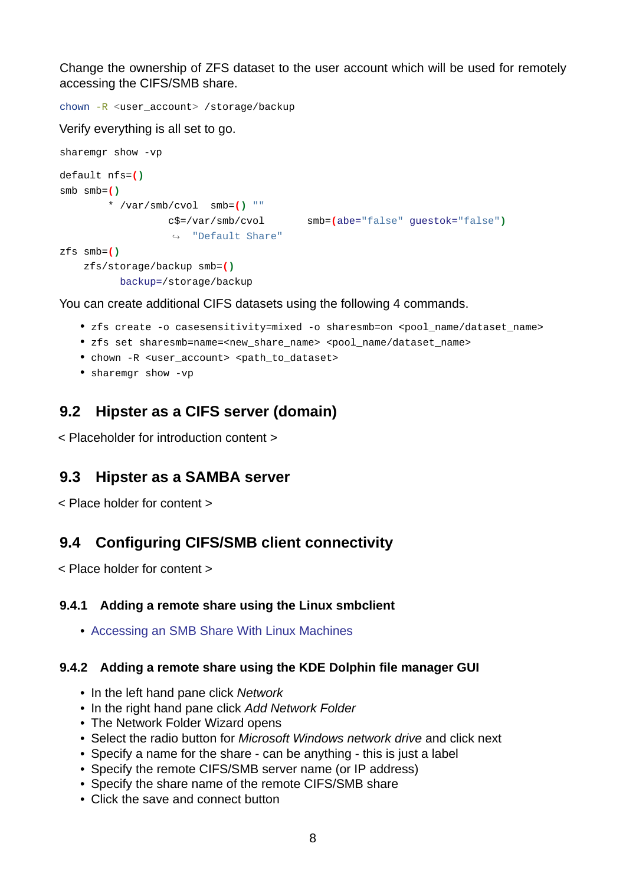Change the ownership of ZFS dataset to the user account which will be used for remotely accessing the CIFS/SMB share.

```
chown -R <user_account> /storage/backup
Verify everything is all set to go.
sharemgr show -vp
default nfs=()
smb smb=()
        * /var/smb/cvol smb=() ""
                  c$=/var/smb/cvol smb=(abe="false" guestok="false")
                  ↪ "Default Share"
zfs smb=()
    zfs/storage/backup smb=()
          backup=/storage/backup
```
You can create additional CIFS datasets using the following 4 commands.

- zfs create -o casesensitivity=mixed -o sharesmb=on <pool name/dataset name>
- zfs set sharesmb=name=<new\_share\_name> <pool\_name/dataset\_name>
- chown -R <user\_account> <path\_to\_dataset>
- $\bullet$  sharemgr show -vp

### **9.2 Hipster as a CIFS server (domain)**

<span id="page-7-0"></span>< Placeholder for introduction content >

#### **9.3 Hipster as a SAMBA server**

<span id="page-7-1"></span>< Place holder for content >

### **9.4 Configuring CIFS/SMB client connectivity**

<span id="page-7-2"></span>< Place holder for content >

#### **9.4.1 Adding a remote share using the Linux smbclient**

• Accessing an SMB Share With Linux Machines

#### <span id="page-7-3"></span>**9.4.2 Adding a remote share using the KDE Dolphin file manager GUI**

- [In the left hand pane click](http://www.tldp.org/HOWTO/SMB-HOWTO-8.html) *Network*
- <span id="page-7-4"></span>• In the right hand pane click *Add Network Folder*
- The Network Folder Wizard opens
- Select the radio button for *Microsoft Windows network drive* and click next
- Specify a name for the share can be anything this is just a label
- Specify the remote CIFS/SMB server name (or IP address)
- Specify the share name of the remote CIFS/SMB share
- Click the save and connect button